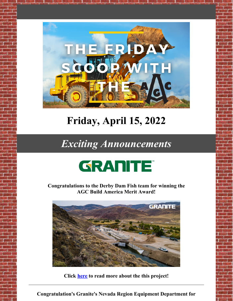

# **Friday, April 15, 2022**

### *Exciting Announcements*



**Congratulations to the Derby Dam Fish team for winning the AGC Build America Merit Award!**



**Click [here](https://www.graniteconstruction.com/newsroom/granites-derby-dam-fish-screen-wins-more-recognition) to read more about the this project!**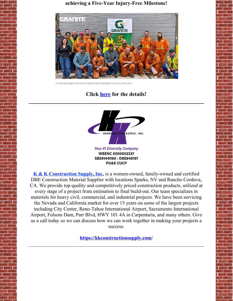**achieving a Five-Year Injury-Free Milestone!**



The Nevada Region Equipment Department celebrates five injury-free years

### **Click [here](https://www.linkedin.com/pulse/granites-nevada-region-equipment-department-celebrates-/) for the details!**



**K & K [Construction](https://kkconstructionsupply.com/) Supply, Inc.**, is a women-owned, family-owned and certified DBE Construction Material Supplier with locations Sparks, NV and Rancho Cordova, CA. We provide top-quality and competitively priced construction products, utilized at every stage of a project from estimation to final build-out. Our team specializes in materials for heavy civil, commercial, and industrial projects. We have been servicing the Nevada and California market for over 15 years on some of the largest projects including City Center, Reno-Tahoe International Airport, Sacramento International Airport, Folsom Dam, Parr Blvd, HWY 101 4A in Carpentaria, and many others. Give us a call today so we can discuss how we can work together in making your projects a success.

**<https://kkconstructionsupply.com/>**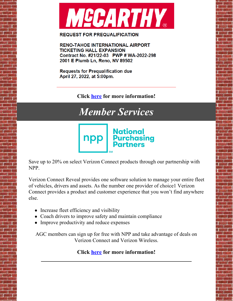

#### **REQUEST FOR PREQUALIFICATION**

**RENO-TAHOE INTERNATIONAL AIRPORT TICKETING HALL EXPANSION** Contract No. #21/22-03 PWP # WA-2022-298 2001 E Plumb Ln, Reno, NV 89502

**Requests for Prequalification due** April 27, 2022, at 5:00pm.

**Click [here](https://files.constantcontact.com/a417e0a6101/1dce015e-f714-4e83-893a-43038cb5800e.pdf?rdr=true) for more information!**

## *Member Services*



Save up to 20% on select Verizon Connect products through our partnership with NPP.

Verizon Connect Reveal provides one software solution to manage your entire fleet of vehicles, drivers and assets. As the number one provider of choice1 Verizon Connect provides a product and customer experience that you won't find anywhere else.

- Increase fleet efficiency and visibility
- Coach drivers to improve safety and maintain compliance
- Improve productivity and reduce expenses

AGC members can sign up for free with NPP and take advantage of deals on Verizon Connect and Verizon Wireless.

#### **Click [here](https://mynpp.com/association/nevada-chapter-agc/) for more information!**